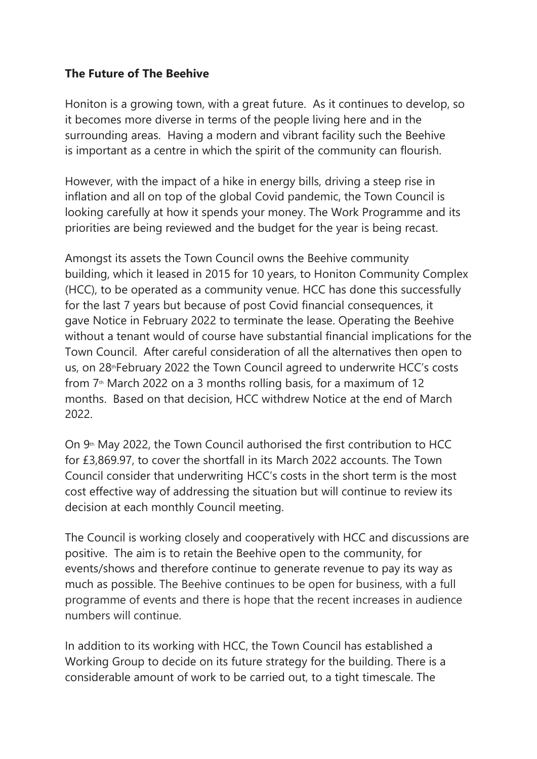## **The Future of The Beehive**

Honiton is a growing town, with a great future. As it continues to develop, so it becomes more diverse in terms of the people living here and in the surrounding areas. Having a modern and vibrant facility such the Beehive is important as a centre in which the spirit of the community can flourish.

However, with the impact of a hike in energy bills, driving a steep rise in inflation and all on top of the global Covid pandemic, the Town Council is looking carefully at how it spends your money. The Work Programme and its priorities are being reviewed and the budget for the year is being recast.

Amongst its assets the Town Council owns the Beehive community building, which it leased in 2015 for 10 years, to Honiton Community Complex (HCC), to be operated as a community venue. HCC has done this successfully for the last 7 years but because of post Covid financial consequences, it gave Notice in February 2022 to terminate the lease. Operating the Beehive without a tenant would of course have substantial financial implications for the Town Council. After careful consideration of all the alternatives then open to us, on 28<sup>th</sup>February 2022 the Town Council agreed to underwrite HCC's costs from  $7<sup>th</sup>$  March 2022 on a 3 months rolling basis, for a maximum of 12 months. Based on that decision, HCC withdrew Notice at the end of March 2022.

On  $9<sup>th</sup>$  May 2022, the Town Council authorised the first contribution to HCC for £3,869.97, to cover the shortfall in its March 2022 accounts. The Town Council consider that underwriting HCC's costs in the short term is the most cost effective way of addressing the situation but will continue to review its decision at each monthly Council meeting.

The Council is working closely and cooperatively with HCC and discussions are positive. The aim is to retain the Beehive open to the community, for events/shows and therefore continue to generate revenue to pay its way as much as possible. The Beehive continues to be open for business, with a full programme of events and there is hope that the recent increases in audience numbers will continue.

In addition to its working with HCC, the Town Council has established a Working Group to decide on its future strategy for the building. There is a considerable amount of work to be carried out, to a tight timescale. The